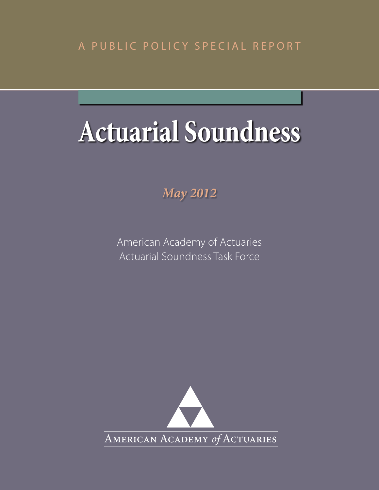# A PUBLIC POLICY SPECIAL REPORT

# **Actuarial Soundness**

*May 2012*

American Academy of Actuaries Actuarial Soundness Task Force

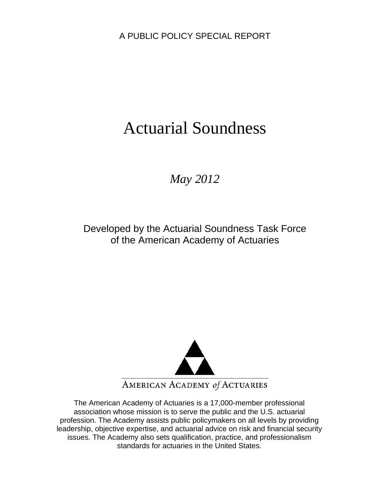A PUBLIC POLICY SPECIAL REPORT

# Actuarial Soundness

*May 2012* 

Developed by the Actuarial Soundness Task Force of the American Academy of Actuaries



The American Academy of Actuaries is a 17,000-member professional association whose mission is to serve the public and the U.S. actuarial profession. The Academy assists public policymakers on all levels by providing leadership, objective expertise, and actuarial advice on risk and financial security issues. The Academy also sets qualification, practice, and professionalism standards for actuaries in the United States.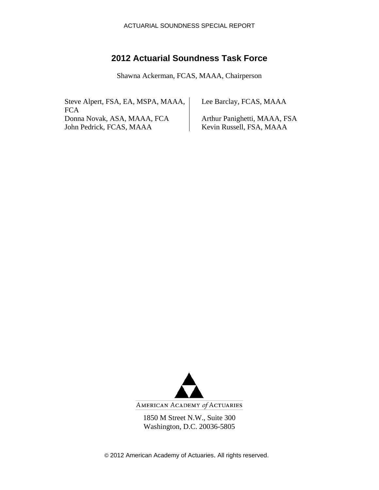## **2012 Actuarial Soundness Task Force**

Shawna Ackerman, FCAS, MAAA, Chairperson

Steve Alpert, FSA, EA, MSPA, MAAA, **FCA** Donna Novak, ASA, MAAA, FCA Arthur Panighetti, MAAA, FSA<br>
John Pedrick, FCAS, MAAA Kevin Russell, FSA, MAAA John Pedrick, FCAS, MAAA

Lee Barclay, FCAS, MAAA



AMERICAN ACADEMY of ACTUARIES

1850 M Street N.W., Suite 300 Washington, D.C. 20036-5805

© 2012 American Academy of Actuaries. All rights reserved.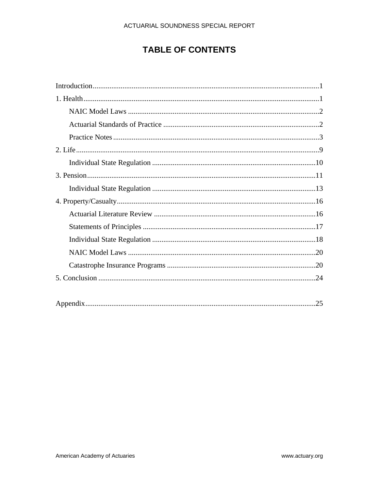# **TABLE OF CONTENTS**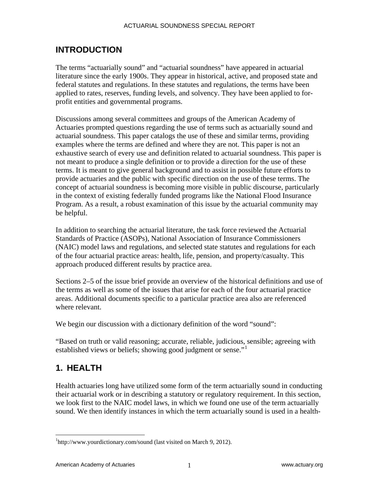# **INTRODUCTION**

The terms "actuarially sound" and "actuarial soundness" have appeared in actuarial literature since the early 1900s. They appear in historical, active, and proposed state and federal statutes and regulations. In these statutes and regulations, the terms have been applied to rates, reserves, funding levels, and solvency. They have been applied to forprofit entities and governmental programs.

Discussions among several committees and groups of the American Academy of Actuaries prompted questions regarding the use of terms such as actuarially sound and actuarial soundness. This paper catalogs the use of these and similar terms, providing examples where the terms are defined and where they are not. This paper is not an exhaustive search of every use and definition related to actuarial soundness. This paper is not meant to produce a single definition or to provide a direction for the use of these terms. It is meant to give general background and to assist in possible future efforts to provide actuaries and the public with specific direction on the use of these terms. The concept of actuarial soundness is becoming more visible in public discourse, particularly in the context of existing federally funded programs like the National Flood Insurance Program. As a result, a robust examination of this issue by the actuarial community may be helpful.

In addition to searching the actuarial literature, the task force reviewed the Actuarial Standards of Practice (ASOPs), National Association of Insurance Commissioners (NAIC) model laws and regulations, and selected state statutes and regulations for each of the four actuarial practice areas: health, life, pension, and property/casualty. This approach produced different results by practice area.

Sections 2–5 of the issue brief provide an overview of the historical definitions and use of the terms as well as some of the issues that arise for each of the four actuarial practice areas. Additional documents specific to a particular practice area also are referenced where relevant.

We begin our discussion with a dictionary definition of the word "sound":

"Based on truth or valid reasoning; accurate, reliable, judicious, sensible; agreeing with established views or beliefs; showing good judgment or sense."<sup>[1](#page-4-0)</sup>

# **1. HEALTH**

<u>.</u>

Health actuaries long have utilized some form of the term actuarially sound in conducting their actuarial work or in describing a statutory or regulatory requirement. In this section, we look first to the NAIC model laws, in which we found one use of the term actuarially sound. We then identify instances in which the term actuarially sound is used in a health-

<span id="page-4-0"></span><sup>&</sup>lt;sup>1</sup>http://www.yourdictionary.com/sound (last visited on March 9, 2012).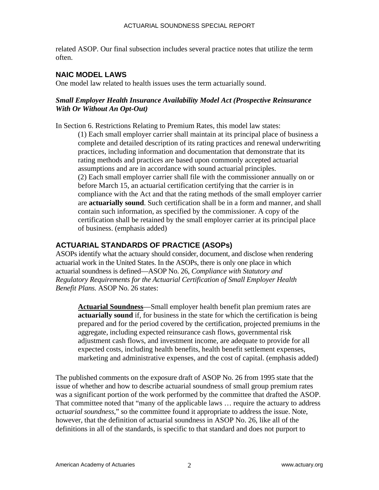related ASOP. Our final subsection includes several practice notes that utilize the term often.

#### **NAIC MODEL LAWS**

One model law related to health issues uses the term actuarially sound.

#### *Small Employer Health Insurance Availability Model Act (Prospective Reinsurance With Or Without An Opt-Out)*

In Section 6. Restrictions Relating to Premium Rates, this model law states:

(1) Each small employer carrier shall maintain at its principal place of business a complete and detailed description of its rating practices and renewal underwriting practices, including information and documentation that demonstrate that its rating methods and practices are based upon commonly accepted actuarial assumptions and are in accordance with sound actuarial principles. (2) Each small employer carrier shall file with the commissioner annually on or before March 15, an actuarial certification certifying that the carrier is in compliance with the Act and that the rating methods of the small employer carrier are **actuarially sound**. Such certification shall be in a form and manner, and shall contain such information, as specified by the commissioner. A copy of the certification shall be retained by the small employer carrier at its principal place of business. (emphasis added)

#### **ACTUARIAL STANDARDS OF PRACTICE (ASOPs)**

ASOPs identify what the actuary should consider, document, and disclose when rendering actuarial work in the United States. In the ASOPs, there is only one place in which actuarial soundness is defined—ASOP No. 26, *Compliance with Statutory and Regulatory Requirements for the Actuarial Certification of Small Employer Health Benefit Plans.* ASOP No. 26 states:

**Actuarial Soundness**—Small employer health benefit plan premium rates are **actuarially sound** if, for business in the state for which the certification is being prepared and for the period covered by the certification, projected premiums in the aggregate, including expected reinsurance cash flows, governmental risk adjustment cash flows, and investment income, are adequate to provide for all expected costs, including health benefits, health benefit settlement expenses, marketing and administrative expenses, and the cost of capital. (emphasis added)

The published comments on the exposure draft of ASOP No. 26 from 1995 state that the issue of whether and how to describe actuarial soundness of small group premium rates was a significant portion of the work performed by the committee that drafted the ASOP. That committee noted that "many of the applicable laws … require the actuary to address *actuarial soundness*," so the committee found it appropriate to address the issue. Note, however, that the definition of actuarial soundness in ASOP No. 26, like all of the definitions in all of the standards, is specific to that standard and does not purport to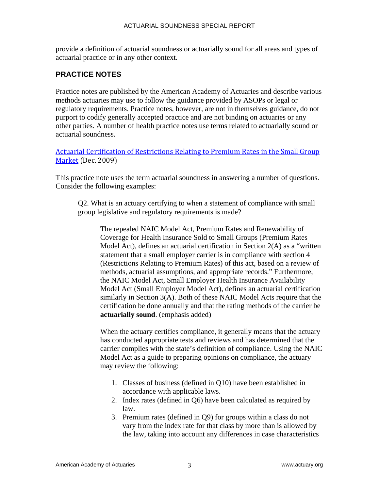provide a definition of actuarial soundness or actuarially sound for all areas and types of actuarial practice or in any other context.

#### **PRACTICE NOTES**

Practice notes are published by the American Academy of Actuaries and describe various methods actuaries may use to follow the guidance provided by ASOPs or legal or regulatory requirements. Practice notes, however, are not in themselves guidance, do not purport to codify generally accepted practice and are not binding on actuaries or any other parties. A number of health practice notes use terms related to actuarially sound or actuarial soundness.

[Actuarial Certification of Restrictions Relating to Premium Rates in the Small Group](http://www.actuary.org/pdf/health/smallgroup_dec09.pdf)  Market (Dec. 2009)

This practice note uses the term actuarial soundness in answering a number of questions. Consider the following examples:

Q2. What is an actuary certifying to when a statement of compliance with small group legislative and regulatory requirements is made?

The repealed NAIC Model Act, Premium Rates and Renewability of Coverage for Health Insurance Sold to Small Groups (Premium Rates Model Act), defines an actuarial certification in Section 2(A) as a "written statement that a small employer carrier is in compliance with section 4 (Restrictions Relating to Premium Rates) of this act, based on a review of methods, actuarial assumptions, and appropriate records." Furthermore, the NAIC Model Act, Small Employer Health Insurance Availability Model Act (Small Employer Model Act), defines an actuarial certification similarly in Section 3(A). Both of these NAIC Model Acts require that the certification be done annually and that the rating methods of the carrier be **actuarially sound**. (emphasis added)

When the actuary certifies compliance, it generally means that the actuary has conducted appropriate tests and reviews and has determined that the carrier complies with the state's definition of compliance. Using the NAIC Model Act as a guide to preparing opinions on compliance, the actuary may review the following:

- 1. Classes of business (defined in Q10) have been established in accordance with applicable laws.
- 2. Index rates (defined in Q6) have been calculated as required by law.
- 3. Premium rates (defined in Q9) for groups within a class do not vary from the index rate for that class by more than is allowed by the law, taking into account any differences in case characteristics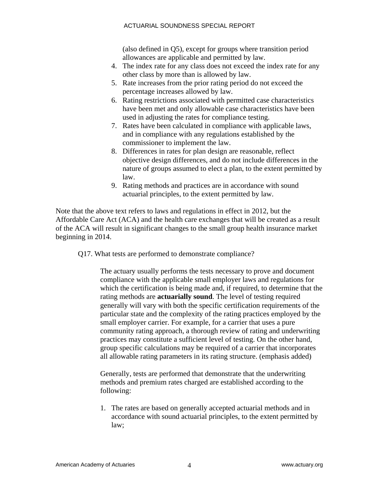(also defined in Q5), except for groups where transition period allowances are applicable and permitted by law.

- 4. The index rate for any class does not exceed the index rate for any other class by more than is allowed by law.
- 5. Rate increases from the prior rating period do not exceed the percentage increases allowed by law.
- 6. Rating restrictions associated with permitted case characteristics have been met and only allowable case characteristics have been used in adjusting the rates for compliance testing.
- 7. Rates have been calculated in compliance with applicable laws, and in compliance with any regulations established by the commissioner to implement the law.
- 8. Differences in rates for plan design are reasonable, reflect objective design differences, and do not include differences in the nature of groups assumed to elect a plan, to the extent permitted by law.
- 9. Rating methods and practices are in accordance with sound actuarial principles, to the extent permitted by law.

Note that the above text refers to laws and regulations in effect in 2012, but the Affordable Care Act (ACA) and the health care exchanges that will be created as a result of the ACA will result in significant changes to the small group health insurance market beginning in 2014.

Q17. What tests are performed to demonstrate compliance?

The actuary usually performs the tests necessary to prove and document compliance with the applicable small employer laws and regulations for which the certification is being made and, if required, to determine that the rating methods are **actuarially sound**. The level of testing required generally will vary with both the specific certification requirements of the particular state and the complexity of the rating practices employed by the small employer carrier. For example, for a carrier that uses a pure community rating approach, a thorough review of rating and underwriting practices may constitute a sufficient level of testing. On the other hand, group specific calculations may be required of a carrier that incorporates all allowable rating parameters in its rating structure. (emphasis added)

Generally, tests are performed that demonstrate that the underwriting methods and premium rates charged are established according to the following:

1. The rates are based on generally accepted actuarial methods and in accordance with sound actuarial principles, to the extent permitted by law;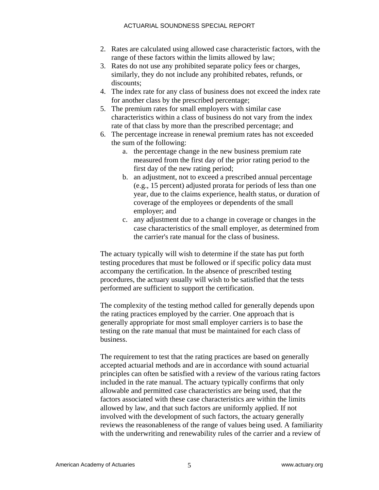- 2. Rates are calculated using allowed case characteristic factors, with the range of these factors within the limits allowed by law;
- 3. Rates do not use any prohibited separate policy fees or charges, similarly, they do not include any prohibited rebates, refunds, or discounts;
- 4. The index rate for any class of business does not exceed the index rate for another class by the prescribed percentage;
- 5. The premium rates for small employers with similar case characteristics within a class of business do not vary from the index rate of that class by more than the prescribed percentage; and
- 6. The percentage increase in renewal premium rates has not exceeded the sum of the following:
	- a. the percentage change in the new business premium rate measured from the first day of the prior rating period to the first day of the new rating period;
	- b. an adjustment, not to exceed a prescribed annual percentage (e.g., 15 percent) adjusted prorata for periods of less than one year, due to the claims experience, health status, or duration of coverage of the employees or dependents of the small employer; and
	- c. any adjustment due to a change in coverage or changes in the case characteristics of the small employer, as determined from the carrier's rate manual for the class of business.

The actuary typically will wish to determine if the state has put forth testing procedures that must be followed or if specific policy data must accompany the certification. In the absence of prescribed testing procedures, the actuary usually will wish to be satisfied that the tests performed are sufficient to support the certification.

The complexity of the testing method called for generally depends upon the rating practices employed by the carrier. One approach that is generally appropriate for most small employer carriers is to base the testing on the rate manual that must be maintained for each class of business.

The requirement to test that the rating practices are based on generally accepted actuarial methods and are in accordance with sound actuarial principles can often be satisfied with a review of the various rating factors included in the rate manual. The actuary typically confirms that only allowable and permitted case characteristics are being used, that the factors associated with these case characteristics are within the limits allowed by law, and that such factors are uniformly applied. If not involved with the development of such factors, the actuary generally reviews the reasonableness of the range of values being used. A familiarity with the underwriting and renewability rules of the carrier and a review of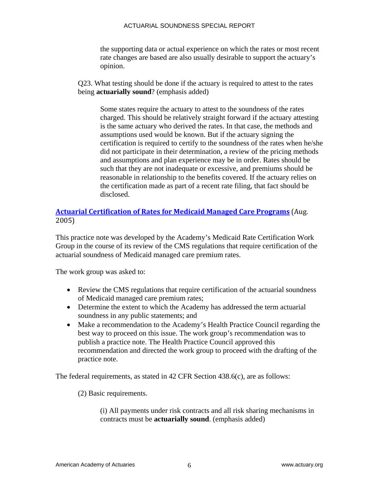the supporting data or actual experience on which the rates or most recent rate changes are based are also usually desirable to support the actuary's opinion.

Q23. What testing should be done if the actuary is required to attest to the rates being **actuarially sound**? (emphasis added)

Some states require the actuary to attest to the soundness of the rates charged. This should be relatively straight forward if the actuary attesting is the same actuary who derived the rates. In that case, the methods and assumptions used would be known. But if the actuary signing the certification is required to certify to the soundness of the rates when he/she did not participate in their determination, a review of the pricing methods and assumptions and plan experience may be in order. Rates should be such that they are not inadequate or excessive, and premiums should be reasonable in relationship to the benefits covered. If the actuary relies on the certification made as part of a recent rate filing, that fact should be disclosed.

#### **Actuarial [Certification](http://www.actuary.org/pdf/practnotes/health_medicaid_05.pdf) of Rates for Medicaid Managed Care Programs** (Aug. 2005)

This practice note was developed by the Academy's Medicaid Rate Certification Work Group in the course of its review of the CMS regulations that require certification of the actuarial soundness of Medicaid managed care premium rates.

The work group was asked to:

- Review the CMS regulations that require certification of the actuarial soundness of Medicaid managed care premium rates;
- Determine the extent to which the Academy has addressed the term actuarial soundness in any public statements; and
- Make a recommendation to the Academy's Health Practice Council regarding the best way to proceed on this issue. The work group's recommendation was to publish a practice note. The Health Practice Council approved this recommendation and directed the work group to proceed with the drafting of the practice note.

The federal requirements, as stated in 42 CFR Section 438.6(c), are as follows:

(2) Basic requirements.

(i) All payments under risk contracts and all risk sharing mechanisms in contracts must be **actuarially sound**. (emphasis added)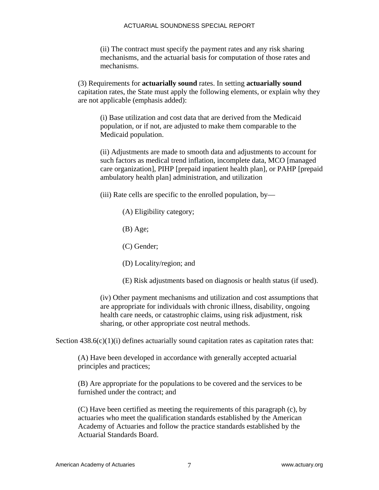(ii) The contract must specify the payment rates and any risk sharing mechanisms, and the actuarial basis for computation of those rates and mechanisms.

(3) Requirements for **actuarially sound** rates. In setting **actuarially sound** capitation rates, the State must apply the following elements, or explain why they are not applicable (emphasis added):

(i) Base utilization and cost data that are derived from the Medicaid population, or if not, are adjusted to make them comparable to the Medicaid population.

(ii) Adjustments are made to smooth data and adjustments to account for such factors as medical trend inflation, incomplete data, MCO [managed care organization], PIHP [prepaid inpatient health plan], or PAHP [prepaid ambulatory health plan] administration, and utilization

(iii) Rate cells are specific to the enrolled population, by—

- (A) Eligibility category;
- (B) Age;
- (C) Gender;
- (D) Locality/region; and
- (E) Risk adjustments based on diagnosis or health status (if used).

(iv) Other payment mechanisms and utilization and cost assumptions that are appropriate for individuals with chronic illness, disability, ongoing health care needs, or catastrophic claims, using risk adjustment, risk sharing, or other appropriate cost neutral methods.

Section  $438.6(c)(1)(i)$  defines actuarially sound capitation rates as capitation rates that:

(A) Have been developed in accordance with generally accepted actuarial principles and practices;

(B) Are appropriate for the populations to be covered and the services to be furnished under the contract; and

(C) Have been certified as meeting the requirements of this paragraph (c), by actuaries who meet the qualification standards established by the American Academy of Actuaries and follow the practice standards established by the Actuarial Standards Board.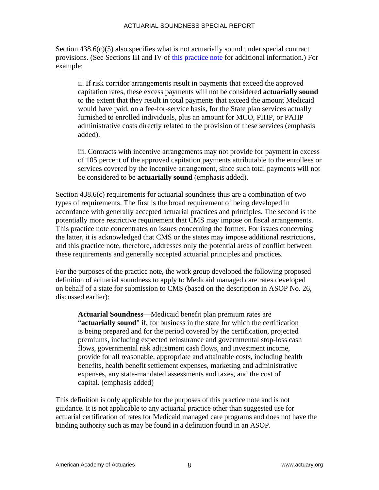Section  $438.6(c)(5)$  also specifies what is not actuarially sound under special contract provisions. (See Sections III and IV of [this practice note](http://www.actuary.org/pdf/practnotes/health_medicaid_05.pdf) for additional information.) For example:

ii. If risk corridor arrangements result in payments that exceed the approved capitation rates, these excess payments will not be considered **actuarially sound** to the extent that they result in total payments that exceed the amount Medicaid would have paid, on a fee-for-service basis, for the State plan services actually furnished to enrolled individuals, plus an amount for MCO, PIHP, or PAHP administrative costs directly related to the provision of these services (emphasis added).

iii. Contracts with incentive arrangements may not provide for payment in excess of 105 percent of the approved capitation payments attributable to the enrollees or services covered by the incentive arrangement, since such total payments will not be considered to be **actuarially sound** (emphasis added).

Section 438.6(c) requirements for actuarial soundness thus are a combination of two types of requirements. The first is the broad requirement of being developed in accordance with generally accepted actuarial practices and principles. The second is the potentially more restrictive requirement that CMS may impose on fiscal arrangements. This practice note concentrates on issues concerning the former. For issues concerning the latter, it is acknowledged that CMS or the states may impose additional restrictions, and this practice note, therefore, addresses only the potential areas of conflict between these requirements and generally accepted actuarial principles and practices.

For the purposes of the practice note, the work group developed the following proposed definition of actuarial soundness to apply to Medicaid managed care rates developed on behalf of a state for submission to CMS (based on the description in ASOP No. 26, discussed earlier):

**Actuarial Soundness**—Medicaid benefit plan premium rates are "**actuarially sound**" if, for business in the state for which the certification is being prepared and for the period covered by the certification, projected premiums, including expected reinsurance and governmental stop-loss cash flows, governmental risk adjustment cash flows, and investment income, provide for all reasonable, appropriate and attainable costs, including health benefits, health benefit settlement expenses, marketing and administrative expenses, any state-mandated assessments and taxes, and the cost of capital. (emphasis added)

This definition is only applicable for the purposes of this practice note and is not guidance. It is not applicable to any actuarial practice other than suggested use for actuarial certification of rates for Medicaid managed care programs and does not have the binding authority such as may be found in a definition found in an ASOP.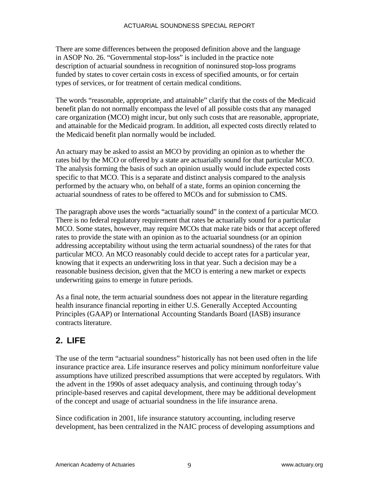There are some differences between the proposed definition above and the language in ASOP No. 26. "Governmental stop-loss" is included in the practice note description of actuarial soundness in recognition of noninsured stop-loss programs funded by states to cover certain costs in excess of specified amounts, or for certain types of services, or for treatment of certain medical conditions.

The words "reasonable, appropriate, and attainable" clarify that the costs of the Medicaid benefit plan do not normally encompass the level of all possible costs that any managed care organization (MCO) might incur, but only such costs that are reasonable, appropriate, and attainable for the Medicaid program. In addition, all expected costs directly related to the Medicaid benefit plan normally would be included.

An actuary may be asked to assist an MCO by providing an opinion as to whether the rates bid by the MCO or offered by a state are actuarially sound for that particular MCO. The analysis forming the basis of such an opinion usually would include expected costs specific to that MCO. This is a separate and distinct analysis compared to the analysis performed by the actuary who, on behalf of a state, forms an opinion concerning the actuarial soundness of rates to be offered to MCOs and for submission to CMS.

The paragraph above uses the words "actuarially sound" in the context of a particular MCO. There is no federal regulatory requirement that rates be actuarially sound for a particular MCO. Some states, however, may require MCOs that make rate bids or that accept offered rates to provide the state with an opinion as to the actuarial soundness (or an opinion addressing acceptability without using the term actuarial soundness) of the rates for that particular MCO. An MCO reasonably could decide to accept rates for a particular year, knowing that it expects an underwriting loss in that year. Such a decision may be a reasonable business decision, given that the MCO is entering a new market or expects underwriting gains to emerge in future periods.

As a final note, the term actuarial soundness does not appear in the literature regarding health insurance financial reporting in either U.S. Generally Accepted Accounting Principles (GAAP) or International Accounting Standards Board (IASB) insurance contracts literature.

# **2. LIFE**

The use of the term "actuarial soundness" historically has not been used often in the life insurance practice area. Life insurance reserves and policy minimum nonforfeiture value assumptions have utilized prescribed assumptions that were accepted by regulators. With the advent in the 1990s of asset adequacy analysis, and continuing through today's principle-based reserves and capital development, there may be additional development of the concept and usage of actuarial soundness in the life insurance arena.

Since codification in 2001, life insurance statutory accounting, including reserve development, has been centralized in the NAIC process of developing assumptions and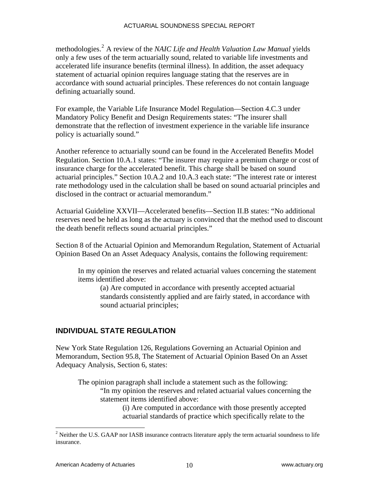methodologies.[2](#page-13-0) A review of the *NAIC Life and Health Valuation Law Manual* yields only a few uses of the term actuarially sound, related to variable life investments and accelerated life insurance benefits (terminal illness). In addition, the asset adequacy statement of actuarial opinion requires language stating that the reserves are in accordance with sound actuarial principles. These references do not contain language defining actuarially sound.

For example, the Variable Life Insurance Model Regulation—Section 4.C.3 under Mandatory Policy Benefit and Design Requirements states: "The insurer shall demonstrate that the reflection of investment experience in the variable life insurance policy is actuarially sound."

Another reference to actuarially sound can be found in the Accelerated Benefits Model Regulation. Section 10.A.1 states: "The insurer may require a premium charge or cost of insurance charge for the accelerated benefit. This charge shall be based on sound actuarial principles." Section 10.A.2 and 10.A.3 each state: "The interest rate or interest rate methodology used in the calculation shall be based on sound actuarial principles and disclosed in the contract or actuarial memorandum."

Actuarial Guideline XXVII—Accelerated benefits—Section II.B states: "No additional reserves need be held as long as the actuary is convinced that the method used to discount the death benefit reflects sound actuarial principles."

Section 8 of the Actuarial Opinion and Memorandum Regulation, Statement of Actuarial Opinion Based On an Asset Adequacy Analysis, contains the following requirement:

In my opinion the reserves and related actuarial values concerning the statement items identified above:

(a) Are computed in accordance with presently accepted actuarial standards consistently applied and are fairly stated, in accordance with sound actuarial principles;

#### **INDIVIDUAL STATE REGULATION**

New York State Regulation 126, Regulations Governing an Actuarial Opinion and Memorandum, Section 95.8, The Statement of Actuarial Opinion Based On an Asset Adequacy Analysis, Section 6, states:

The opinion paragraph shall include a statement such as the following: "In my opinion the reserves and related actuarial values concerning the statement items identified above:

(i) Are computed in accordance with those presently accepted actuarial standards of practice which specifically relate to the

1

<span id="page-13-0"></span><sup>&</sup>lt;sup>2</sup> Neither the U.S. GAAP nor IASB insurance contracts literature apply the term actuarial soundness to life insurance.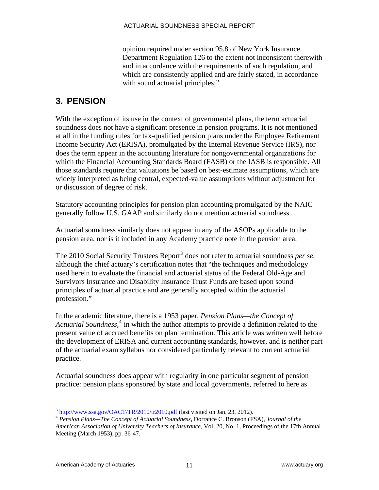opinion required under section 95.8 of New York Insurance Department Regulation 126 to the extent not inconsistent therewith and in accordance with the requirements of such regulation, and which are consistently applied and are fairly stated, in accordance with sound actuarial principles;"

# **3. PENSION**

With the exception of its use in the context of governmental plans, the term actuarial soundness does not have a significant presence in pension programs. It is not mentioned at all in the funding rules for tax-qualified pension plans under the Employee Retirement Income Security Act (ERISA), promulgated by the Internal Revenue Service (IRS), nor does the term appear in the accounting literature for nongovernmental organizations for which the Financial Accounting Standards Board (FASB) or the IASB is responsible. All those standards require that valuations be based on best-estimate assumptions, which are widely interpreted as being central, expected-value assumptions without adjustment for or discussion of degree of risk.

Statutory accounting principles for pension plan accounting promulgated by the NAIC generally follow U.S. GAAP and similarly do not mention actuarial soundness.

Actuarial soundness similarly does not appear in any of the ASOPs applicable to the pension area, nor is it included in any Academy practice note in the pension area.

The 2010 Social Security Trustees Report<sup>[3](#page-14-0)</sup> does not refer to actuarial soundness *per se*, although the chief actuary's certification notes that "the techniques and methodology used herein to evaluate the financial and actuarial status of the Federal Old-Age and Survivors Insurance and Disability Insurance Trust Funds are based upon sound principles of actuarial practice and are generally accepted within the actuarial profession."

In the academic literature, there is a 1953 paper, *Pension Plans—the Concept of Actuarial Soundness,*[4](#page-14-1) in which the author attempts to provide a definition related to the present value of accrued benefits on plan termination. This article was written well before the development of ERISA and current accounting standards, however, and is neither part of the actuarial exam syllabus nor considered particularly relevant to current actuarial practice.

Actuarial soundness does appear with regularity in one particular segment of pension practice: pension plans sponsored by state and local governments, referred to here as

 $3$  http://www.ssa.gov/OACT/TR/2010/tr2010.pdf (last visited on Jan. 23, 2012).

<span id="page-14-1"></span><span id="page-14-0"></span><sup>&</sup>lt;sup>4</sup> Pension Plans—The Concept of Actuarial Soundness, Dorrance C. Bronson (FSA), *Journal of the American Association of University Teachers of Insurance,* Vol. 20, No. 1, Proceedings of the 17th Annual Meeting (March 1953), pp. 36-47.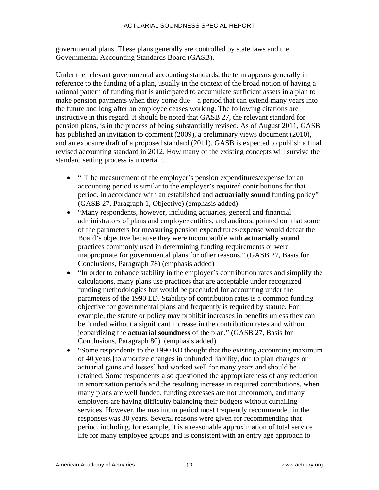governmental plans. These plans generally are controlled by state laws and the Governmental Accounting Standards Board (GASB).

Under the relevant governmental accounting standards, the term appears generally in reference to the funding of a plan, usually in the context of the broad notion of having a rational pattern of funding that is anticipated to accumulate sufficient assets in a plan to make pension payments when they come due—a period that can extend many years into the future and long after an employee ceases working. The following citations are instructive in this regard. It should be noted that GASB 27, the relevant standard for pension plans, is in the process of being substantially revised. As of August 2011, GASB has published an invitation to comment (2009), a preliminary views document (2010), and an exposure draft of a proposed standard (2011). GASB is expected to publish a final revised accounting standard in 2012. How many of the existing concepts will survive the standard setting process is uncertain.

- "[T]he measurement of the employer's pension expenditures/expense for an accounting period is similar to the employer's required contributions for that period, in accordance with an established and **actuarially sound** funding policy" (GASB 27, Paragraph 1, Objective) (emphasis added)
- "Many respondents, however, including actuaries, general and financial administrators of plans and employer entities, and auditors, pointed out that some of the parameters for measuring pension expenditures/expense would defeat the Board's objective because they were incompatible with **actuarially sound** practices commonly used in determining funding requirements or were inappropriate for governmental plans for other reasons." (GASB 27, Basis for Conclusions, Paragraph 78) (emphasis added)
- "In order to enhance stability in the employer's contribution rates and simplify the calculations, many plans use practices that are acceptable under recognized funding methodologies but would be precluded for accounting under the parameters of the 1990 ED. Stability of contribution rates is a common funding objective for governmental plans and frequently is required by statute. For example, the statute or policy may prohibit increases in benefits unless they can be funded without a significant increase in the contribution rates and without jeopardizing the **actuarial soundness** of the plan." (GASB 27, Basis for Conclusions, Paragraph 80). (emphasis added)
- "Some respondents to the 1990 ED thought that the existing accounting maximum of 40 years [to amortize changes in unfunded liability, due to plan changes or actuarial gains and losses] had worked well for many years and should be retained. Some respondents also questioned the appropriateness of any reduction in amortization periods and the resulting increase in required contributions, when many plans are well funded, funding excesses are not uncommon, and many employers are having difficulty balancing their budgets without curtailing services. However, the maximum period most frequently recommended in the responses was 30 years. Several reasons were given for recommending that period, including, for example, it is a reasonable approximation of total service life for many employee groups and is consistent with an entry age approach to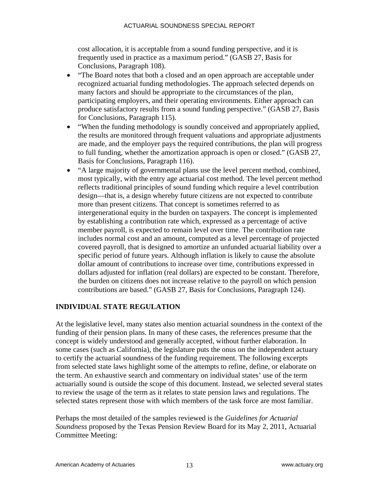cost allocation, it is acceptable from a sound funding perspective, and it is frequently used in practice as a maximum period." (GASB 27, Basis for Conclusions, Paragraph 108).

- "The Board notes that both a closed and an open approach are acceptable under recognized actuarial funding methodologies. The approach selected depends on many factors and should be appropriate to the circumstances of the plan, participating employers, and their operating environments. Either approach can produce satisfactory results from a sound funding perspective." (GASB 27, Basis for Conclusions, Paragraph 115).
- "When the funding methodology is soundly conceived and appropriately applied, the results are monitored through frequent valuations and appropriate adjustments are made, and the employer pays the required contributions, the plan will progress to full funding, whether the amortization approach is open or closed." (GASB 27, Basis for Conclusions, Paragraph 116).
- "A large majority of governmental plans use the level percent method, combined, most typically, with the entry age actuarial cost method. The level percent method reflects traditional principles of sound funding which require a level contribution design—that is, a design whereby future citizens are not expected to contribute more than present citizens. That concept is sometimes referred to as intergenerational equity in the burden on taxpayers. The concept is implemented by establishing a contribution rate which, expressed as a percentage of active member payroll, is expected to remain level over time. The contribution rate includes normal cost and an amount, computed as a level percentage of projected covered payroll, that is designed to amortize an unfunded actuarial liability over a specific period of future years. Although inflation is likely to cause the absolute dollar amount of contributions to increase over time, contributions expressed in dollars adjusted for inflation (real dollars) are expected to be constant. Therefore, the burden on citizens does not increase relative to the payroll on which pension contributions are based." (GASB 27, Basis for Conclusions, Paragraph 124).

#### **INDIVIDUAL STATE REGULATION**

At the legislative level, many states also mention actuarial soundness in the context of the funding of their pension plans. In many of these cases, the references presume that the concept is widely understood and generally accepted, without further elaboration. In some cases (such as California), the legislature puts the onus on the independent actuary to certify the actuarial soundness of the funding requirement. The following excerpts from selected state laws highlight some of the attempts to refine, define, or elaborate on the term. An exhaustive search and commentary on individual states' use of the term actuarially sound is outside the scope of this document. Instead, we selected several states to review the usage of the term as it relates to state pension laws and regulations. The selected states represent those with which members of the task force are most familiar.

Perhaps the most detailed of the samples reviewed is the *Guidelines for Actuarial Soundness* proposed by the Texas Pension Review Board for its May 2, 2011, Actuarial Committee Meeting: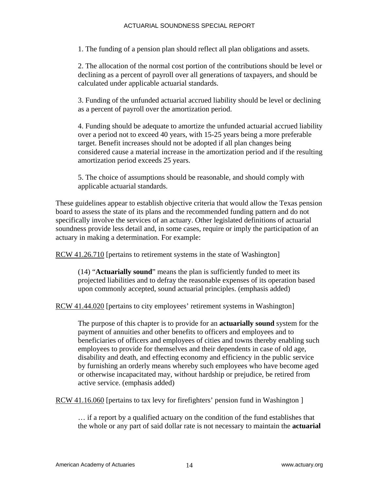1. The funding of a pension plan should reflect all plan obligations and assets.

2. The allocation of the normal cost portion of the contributions should be level or declining as a percent of payroll over all generations of taxpayers, and should be calculated under applicable actuarial standards.

3. Funding of the unfunded actuarial accrued liability should be level or declining as a percent of payroll over the amortization period.

4. Funding should be adequate to amortize the unfunded actuarial accrued liability over a period not to exceed 40 years, with 15-25 years being a more preferable target. Benefit increases should not be adopted if all plan changes being considered cause a material increase in the amortization period and if the resulting amortization period exceeds 25 years.

5. The choice of assumptions should be reasonable, and should comply with applicable actuarial standards.

These guidelines appear to establish objective criteria that would allow the Texas pension board to assess the state of its plans and the recommended funding pattern and do not specifically involve the services of an actuary. Other legislated definitions of actuarial soundness provide less detail and, in some cases, require or imply the participation of an actuary in making a determination. For example:

RCW 41.26.710 [pertains to retirement systems in the state of Washington]

(14) "**Actuarially sound**" means the plan is sufficiently funded to meet its projected liabilities and to defray the reasonable expenses of its operation based upon commonly accepted, sound actuarial principles. (emphasis added)

RCW 41.44.020 [pertains to city employees' retirement systems in Washington]

The purpose of this chapter is to provide for an **actuarially sound** system for the payment of annuities and other benefits to officers and employees and to beneficiaries of officers and employees of cities and towns thereby enabling such employees to provide for themselves and their dependents in case of old age, disability and death, and effecting economy and efficiency in the public service by furnishing an orderly means whereby such employees who have become aged or otherwise incapacitated may, without hardship or prejudice, be retired from active service. (emphasis added)

RCW 41.16.060 [pertains to tax levy for firefighters' pension fund in Washington ]

… if a report by a qualified actuary on the condition of the fund establishes that the whole or any part of said dollar rate is not necessary to maintain the **actuarial**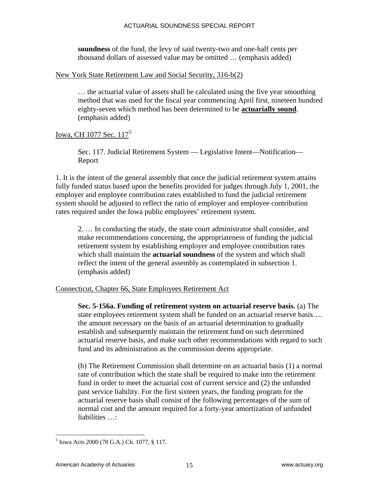**soundness** of the fund, the levy of said twenty-two and one-half cents per thousand dollars of assessed value may be omitted … (emphasis added)

#### New York State Retirement Law and Social Security, 316-b(2)

… the actuarial value of assets shall be calculated using the five year smoothing method that was used for the fiscal year commencing April first, nineteen hundred eighty-seven which method has been determined to be **actuarially sound**. (emphasis added)

#### Iowa, CH 1077 Sec. 117<sup>[5](#page-18-0)</sup>

Sec. 117. Judicial Retirement System — Legislative Intent—Notification— Report

1. It is the intent of the general assembly that once the judicial retirement system attains fully funded status based upon the benefits provided for judges through July 1, 2001, the employer and employee contribution rates established to fund the judicial retirement system should be adjusted to reflect the ratio of employer and employee contribution rates required under the Iowa public employees' retirement system.

2. … In conducting the study, the state court administrator shall consider, and make recommendations concerning, the appropriateness of funding the judicial retirement system by establishing employer and employee contribution rates which shall maintain the **actuarial soundness** of the system and which shall reflect the intent of the general assembly as contemplated in subsection 1. (emphasis added)

#### Connecticut, Chapter 66, State Employees Retirement Act

**Sec. 5-156a. Funding of retirement system on actuarial reserve basis.** (a) The state employees retirement system shall be funded on an actuarial reserve basis…. the amount necessary on the basis of an actuarial determination to gradually establish and subsequently maintain the retirement fund on such determined actuarial reserve basis, and make such other recommendations with regard to such fund and its administration as the commission deems appropriate.

(b) The Retirement Commission shall determine on an actuarial basis (1) a normal rate of contribution which the state shall be required to make into the retirement fund in order to meet the actuarial cost of current service and (2) the unfunded past service liability. For the first sixteen years, the funding program for the actuarial reserve basis shall consist of the following percentages of the sum of normal cost and the amount required for a forty-year amortization of unfunded liabilities ...

<span id="page-18-0"></span> $\overline{a}$ 5 Iowa Acts 2000 (78 G.A.) Ch. 1077, § 117.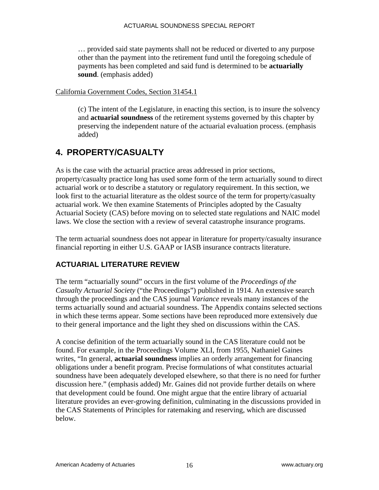… provided said state payments shall not be reduced or diverted to any purpose other than the payment into the retirement fund until the foregoing schedule of payments has been completed and said fund is determined to be **actuarially sound**. (emphasis added)

#### California Government Codes, Section 31454.1

(c) The intent of the Legislature, in enacting this section, is to insure the solvency and **actuarial soundness** of the retirement systems governed by this chapter by preserving the independent nature of the actuarial evaluation process. (emphasis added)

# **4. PROPERTY/CASUALTY**

As is the case with the actuarial practice areas addressed in prior sections, property/casualty practice long has used some form of the term actuarially sound to direct actuarial work or to describe a statutory or regulatory requirement. In this section, we look first to the actuarial literature as the oldest source of the term for property/casualty actuarial work. We then examine Statements of Principles adopted by the Casualty Actuarial Society (CAS) before moving on to selected state regulations and NAIC model laws. We close the section with a review of several catastrophe insurance programs.

The term actuarial soundness does not appear in literature for property/casualty insurance financial reporting in either U.S. GAAP or IASB insurance contracts literature.

#### **ACTUARIAL LITERATURE REVIEW**

The term "actuarially sound" occurs in the first volume of the *Proceedings of the Casualty Actuarial Society* ("the Proceedings") published in 1914. An extensive search through the proceedings and the CAS journal *Variance* reveals many instances of the terms actuarially sound and actuarial soundness. The Appendix contains selected sections in which these terms appear. Some sections have been reproduced more extensively due to their general importance and the light they shed on discussions within the CAS.

A concise definition of the term actuarially sound in the CAS literature could not be found. For example, in the Proceedings Volume XLI, from 1955, Nathaniel Gaines writes, "In general, **actuarial soundness** implies an orderly arrangement for financing obligations under a benefit program. Precise formulations of what constitutes actuarial soundness have been adequately developed elsewhere, so that there is no need for further discussion here." (emphasis added) Mr. Gaines did not provide further details on where that development could be found. One might argue that the entire library of actuarial literature provides an ever-growing definition, culminating in the discussions provided in the CAS Statements of Principles for ratemaking and reserving, which are discussed below.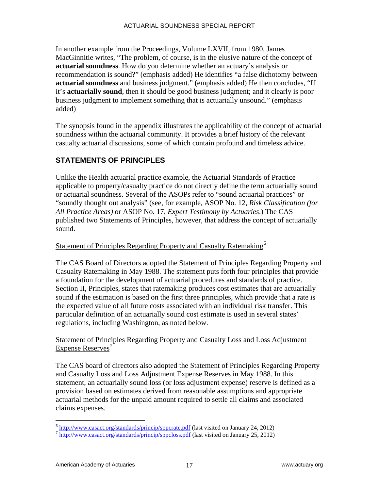In another example from the Proceedings, Volume LXVII, from 1980, James MacGinnitie writes, "The problem, of course, is in the elusive nature of the concept of **actuarial soundness**. How do you determine whether an actuary's analysis or recommendation is sound?" (emphasis added) He identifies "a false dichotomy between **actuarial soundness** and business judgment." (emphasis added) He then concludes, "If it's **actuarially sound**, then it should be good business judgment; and it clearly is poor business judgment to implement something that is actuarially unsound." (emphasis added)

The synopsis found in the appendix illustrates the applicability of the concept of actuarial soundness within the actuarial community. It provides a brief history of the relevant casualty actuarial discussions, some of which contain profound and timeless advice.

# **STATEMENTS OF PRINCIPLES**

Unlike the Health actuarial practice example, the Actuarial Standards of Practice applicable to property/casualty practice do not directly define the term actuarially sound or actuarial soundness. Several of the ASOPs refer to "sound actuarial practices" or "soundly thought out analysis" (see, for example, ASOP No. 12, *Risk Classification (for All Practice Areas)* or ASOP No. 17, *Expert Testimony by Actuaries*.) The CAS published two Statements of Principles, however, that address the concept of actuarially sound.

#### Statement of Principles Regarding Property and Casualty Ratemaking<sup>[6](#page-20-0)</sup>

The CAS Board of Directors adopted the Statement of Principles Regarding Property and Casualty Ratemaking in May 1988. The statement puts forth four principles that provide a foundation for the development of actuarial procedures and standards of practice. Section II, Principles, states that ratemaking produces cost estimates that are actuarially sound if the estimation is based on the first three principles, which provide that a rate is the expected value of all future costs associated with an individual risk transfer. This particular definition of an actuarially sound cost estimate is used in several states' regulations, including Washington, as noted below.

#### Statement of Principles Regarding Property and Casualty Loss and Loss Adjustment Expense Reserves<sup>[7](#page-20-1)</sup>

The CAS board of directors also adopted the Statement of Principles Regarding Property and Casualty Loss and Loss Adjustment Expense Reserves in May 1988. In this statement, an actuarially sound loss (or loss adjustment expense) reserve is defined as a provision based on estimates derived from reasonable assumptions and appropriate actuarial methods for the unpaid amount required to settle all claims and associated claims expenses.

<span id="page-20-0"></span> $\frac{6}{7}$  <http://www.casact.org/standards/princip/sppcrate.pdf>(last visited on January 24, 2012)  $\frac{7}{7}$  <http://www.casact.org/standards/princip/sppcloss.pdf> (last visited on January 25, 2012)

<span id="page-20-1"></span>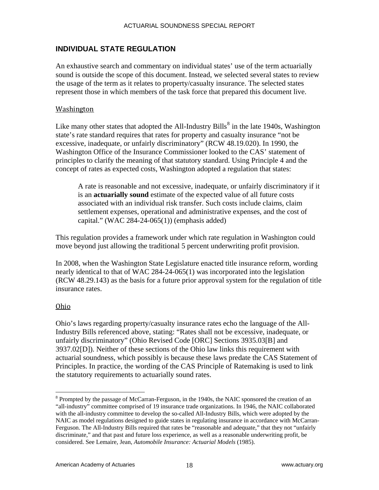#### **INDIVIDUAL STATE REGULATION**

An exhaustive search and commentary on individual states' use of the term actuarially sound is outside the scope of this document. Instead, we selected several states to review the usage of the term as it relates to property/casualty insurance. The selected states represent those in which members of the task force that prepared this document live.

#### **Washington**

Like many other states that adopted the All-Industry Bills<sup>[8](#page-21-0)</sup> in the late 1940s, Washington state's rate standard requires that rates for property and casualty insurance "not be excessive, inadequate, or unfairly discriminatory" (RCW 48.19.020). In 1990, the Washington Office of the Insurance Commissioner looked to the CAS' statement of principles to clarify the meaning of that statutory standard. Using Principle 4 and the concept of rates as expected costs, Washington adopted a regulation that states:

A rate is reasonable and not excessive, inadequate, or unfairly discriminatory if it is an **actuarially sound** estimate of the expected value of all future costs associated with an individual risk transfer. Such costs include claims, claim settlement expenses, operational and administrative expenses, and the cost of capital." (WAC 284-24-065(1)) (emphasis added)

This regulation provides a framework under which rate regulation in Washington could move beyond just allowing the traditional 5 percent underwriting profit provision.

In 2008, when the Washington State Legislature enacted title insurance reform, wording nearly identical to that of WAC 284-24-065(1) was incorporated into the legislation (RCW 48.29.143) as the basis for a future prior approval system for the regulation of title insurance rates.

#### Ohio

 $\overline{a}$ 

Ohio's laws regarding property/casualty insurance rates echo the language of the All-Industry Bills referenced above, stating: "Rates shall not be excessive, inadequate, or unfairly discriminatory" (Ohio Revised Code [ORC] Sections 3935.03[B] and 3937.02[D]). Neither of these sections of the Ohio law links this requirement with actuarial soundness, which possibly is because these laws predate the CAS Statement of Principles. In practice, the wording of the CAS Principle of Ratemaking is used to link the statutory requirements to actuarially sound rates.

<span id="page-21-0"></span><sup>&</sup>lt;sup>8</sup> Prompted by the passage of McCarran-Ferguson, in the 1940s, the NAIC sponsored the creation of an "all-industry" committee comprised of 19 insurance trade organizations. In 1946, the NAIC collaborated with the all-industry committee to develop the so-called All-Industry Bills, which were adopted by the NAIC as model regulations designed to guide states in regulating insurance in accordance with McCarran-Ferguson. The All-Industry Bills required that rates be "reasonable and adequate," that they not "unfairly discriminate," and that past and future loss experience, as well as a reasonable underwriting profit, be considered. See Lemaire, Jean, *Automobile Insurance: Actuarial Models* (1985).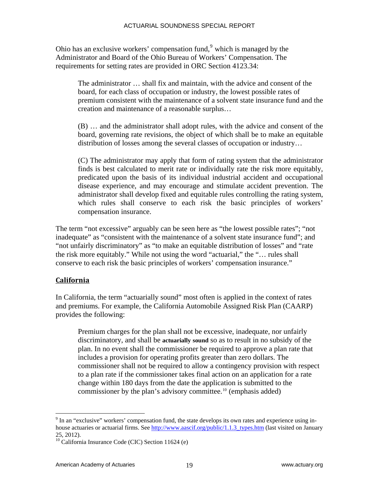Ohio has an exclusive workers' compensation fund, $9$  which is managed by the Administrator and Board of the Ohio Bureau of Workers' Compensation. The requirements for setting rates are provided in ORC Section 4123.34:

The administrator … shall fix and maintain, with the advice and consent of the board, for each class of occupation or industry, the lowest possible rates of premium consistent with the maintenance of a solvent state insurance fund and the creation and maintenance of a reasonable surplus…

(B) … and the administrator shall adopt rules, with the advice and consent of the board, governing rate revisions, the object of which shall be to make an equitable distribution of losses among the several classes of occupation or industry…

(C) The administrator may apply that form of rating system that the administrator finds is best calculated to merit rate or individually rate the risk more equitably, predicated upon the basis of its individual industrial accident and occupational disease experience, and may encourage and stimulate accident prevention. The administrator shall develop fixed and equitable rules controlling the rating system, which rules shall conserve to each risk the basic principles of workers' compensation insurance.

The term "not excessive" arguably can be seen here as "the lowest possible rates"; "not inadequate" as "consistent with the maintenance of a solvent state insurance fund"; and "not unfairly discriminatory" as "to make an equitable distribution of losses" and "rate the risk more equitably." While not using the word "actuarial," the "… rules shall conserve to each risk the basic principles of workers' compensation insurance."

#### **California**

In California, the term "actuarially sound" most often is applied in the context of rates and premiums. For example, the California Automobile Assigned Risk Plan (CAARP) provides the following:

Premium charges for the plan shall not be excessive, inadequate, nor unfairly discriminatory, and shall be **actuarially sound** so as to result in no subsidy of the plan. In no event shall the commissioner be required to approve a plan rate that includes a provision for operating profits greater than zero dollars. The commissioner shall not be required to allow a contingency provision with respect to a plan rate if the commissioner takes final action on an application for a rate change within 180 days from the date the application is submitted to the commissioner by the plan's advisory committee.<sup>[10](#page-22-1)</sup> (emphasis added)

<span id="page-22-0"></span><sup>&</sup>lt;sup>9</sup> In an "exclusive" workers' compensation fund, the state develops its own rates and experience using inhouse actuaries or actuarial firms. See [http://www.aascif.org/public/1.1.3\\_types.htm](http://www.aascif.org/public/1.1.3_types.htm) (last visited on January 25, 2012).

<span id="page-22-1"></span> $10$  California Insurance Code (CIC) Section 11624 (e)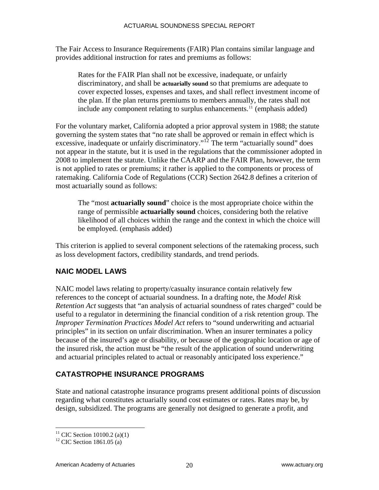The Fair Access to Insurance Requirements (FAIR) Plan contains similar language and provides additional instruction for rates and premiums as follows:

Rates for the FAIR Plan shall not be excessive, inadequate, or unfairly discriminatory, and shall be **actuarially sound** so that premiums are adequate to cover expected losses, expenses and taxes, and shall reflect investment income of the plan. If the plan returns premiums to members annually, the rates shall not include any component relating to surplus enhancements.<sup>[11](#page-23-0)</sup> (emphasis added)

For the voluntary market, California adopted a prior approval system in 1988; the statute governing the system states that "no rate shall be approved or remain in effect which is excessive, inadequate or unfairly discriminatory."<sup>[12](#page-23-1)</sup> The term "actuarially sound" does not appear in the statute, but it is used in the regulations that the commissioner adopted in 2008 to implement the statute. Unlike the CAARP and the FAIR Plan, however, the term is not applied to rates or premiums; it rather is applied to the components or process of ratemaking. California Code of Regulations (CCR) Section 2642.8 defines a criterion of most actuarially sound as follows:

The "most **actuarially sound**" choice is the most appropriate choice within the range of permissible **actuarially sound** choices, considering both the relative likelihood of all choices within the range and the context in which the choice will be employed. (emphasis added)

This criterion is applied to several component selections of the ratemaking process, such as loss development factors, credibility standards, and trend periods.

## **NAIC MODEL LAWS**

NAIC model laws relating to property/casualty insurance contain relatively few references to the concept of actuarial soundness. In a drafting note, the *Model Risk Retention Act* suggests that "an analysis of actuarial soundness of rates charged" could be useful to a regulator in determining the financial condition of a risk retention group. The *Improper Termination Practices Model Act* refers to "sound underwriting and actuarial principles" in its section on unfair discrimination. When an insurer terminates a policy because of the insured's age or disability, or because of the geographic location or age of the insured risk, the action must be "the result of the application of sound underwriting and actuarial principles related to actual or reasonably anticipated loss experience."

# **CATASTROPHE INSURANCE PROGRAMS**

State and national catastrophe insurance programs present additional points of discussion regarding what constitutes actuarially sound cost estimates or rates. Rates may be, by design, subsidized. The programs are generally not designed to generate a profit, and

<sup>&</sup>lt;sup>11</sup> CIC Section 10100.2 (a)(1)

<span id="page-23-1"></span><span id="page-23-0"></span><sup>&</sup>lt;sup>12</sup> CIC Section 1861.05 (a)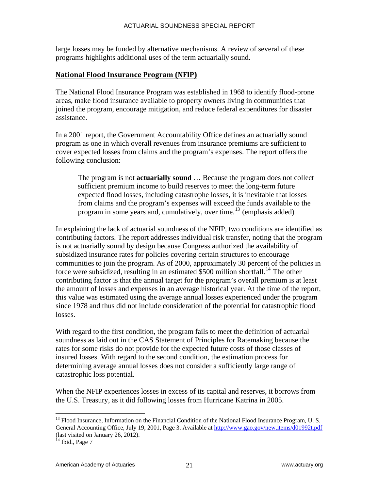large losses may be funded by alternative mechanisms. A review of several of these programs highlights additional uses of the term actuarially sound.

#### **National Flood Insurance Program (NFIP)**

The National Flood Insurance Program was established in 1968 to identify flood-prone areas, make flood insurance available to property owners living in communities that joined the program, encourage mitigation, and reduce federal expenditures for disaster assistance.

In a 2001 report, the Government Accountability Office defines an actuarially sound program as one in which overall revenues from insurance premiums are sufficient to cover expected losses from claims and the program's expenses. The report offers the following conclusion:

The program is not **actuarially sound** … Because the program does not collect sufficient premium income to build reserves to meet the long-term future expected flood losses, including catastrophe losses, it is inevitable that losses from claims and the program's expenses will exceed the funds available to the program in some years and, cumulatively, over time.<sup>[13](#page-24-0)</sup> (emphasis added)

In explaining the lack of actuarial soundness of the NFIP, two conditions are identified as contributing factors. The report addresses individual risk transfer, noting that the program is not actuarially sound by design because Congress authorized the availability of subsidized insurance rates for policies covering certain structures to encourage communities to join the program. As of 2000, approximately 30 percent of the policies in force were subsidized, resulting in an estimated  $$500$  million shortfall.<sup>[14](#page-24-1)</sup> The other contributing factor is that the annual target for the program's overall premium is at least the amount of losses and expenses in an average historical year. At the time of the report, this value was estimated using the average annual losses experienced under the program since 1978 and thus did not include consideration of the potential for catastrophic flood losses.

With regard to the first condition, the program fails to meet the definition of actuarial soundness as laid out in the CAS Statement of Principles for Ratemaking because the rates for some risks do not provide for the expected future costs of those classes of insured losses. With regard to the second condition, the estimation process for determining average annual losses does not consider a sufficiently large range of catastrophic loss potential.

When the NFIP experiences losses in excess of its capital and reserves, it borrows from the U.S. Treasury, as it did following losses from Hurricane Katrina in 2005.

<span id="page-24-0"></span><sup>&</sup>lt;sup>13</sup> Flood Insurance, Information on the Financial Condition of the National Flood Insurance Program, U. S. General Accounting Office, July 19, 2001, Page 3. Available at <http://www.gao.gov/new.items/d01992t.pdf> (last visited on January 26, 2012).

<span id="page-24-1"></span> $14$  Ibid., Page 7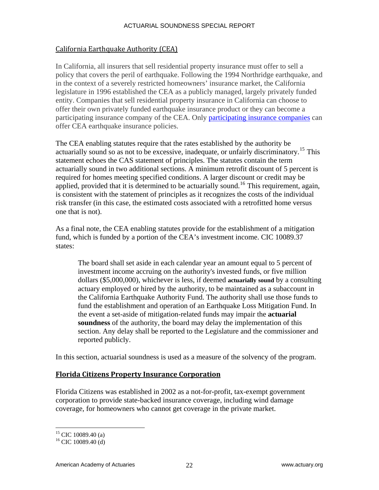#### California Earthquake Authority (CEA)

In California, all insurers that sell residential property insurance must offer to sell a policy that covers the peril of earthquake. Following the 1994 Northridge earthquake, and in the context of a severely restricted homeowners' insurance market, the California legislature in 1996 established the CEA as a publicly managed, largely privately funded entity. Companies that sell residential property insurance in California can choose to offer their own privately funded earthquake insurance product or they can become a participating insurance company of the CEA. Only [participating insurance companies](http://earthquakeauthority.com/index.aspx?id=53) can offer CEA earthquake insurance policies.

The CEA enabling statutes require that the rates established by the authority be actuarially sound so as not to be excessive, inadequate, or unfairly discriminatory.<sup>[15](#page-25-0)</sup> This statement echoes the CAS statement of principles. The statutes contain the term actuarially sound in two additional sections. A minimum retrofit discount of 5 percent is required for homes meeting specified conditions. A larger discount or credit may be applied, provided that it is determined to be actuarially sound.<sup>[16](#page-25-1)</sup> This requirement, again, is consistent with the statement of principles as it recognizes the costs of the individual risk transfer (in this case, the estimated costs associated with a retrofitted home versus one that is not).

As a final note, the CEA enabling statutes provide for the establishment of a mitigation fund, which is funded by a portion of the CEA's investment income. CIC 10089.37 states:

The board shall set aside in each calendar year an amount equal to 5 percent of investment income accruing on the authority's invested funds, or five million dollars (\$5,000,000), whichever is less, if deemed **actuarially sound** by a consulting actuary employed or hired by the authority, to be maintained as a subaccount in the California Earthquake Authority Fund. The authority shall use those funds to fund the establishment and operation of an Earthquake Loss Mitigation Fund. In the event a set-aside of mitigation-related funds may impair the **actuarial soundness** of the authority, the board may delay the implementation of this section. Any delay shall be reported to the Legislature and the commissioner and reported publicly.

In this section, actuarial soundness is used as a measure of the solvency of the program.

#### **Florida Citizens Property Insurance Corporation**

Florida Citizens was established in 2002 as a not-for-profit, tax-exempt government corporation to provide state-backed insurance coverage, including wind damage coverage, for homeowners who cannot get coverage in the private market.

 $15$  CIC 10089.40 (a)

<span id="page-25-1"></span><span id="page-25-0"></span> $^{16}$  CIC 10089.40 (d)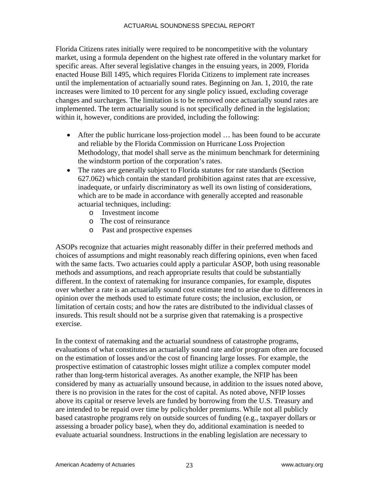Florida Citizens rates initially were required to be noncompetitive with the voluntary market, using a formula dependent on the highest rate offered in the voluntary market for specific areas. After several legislative changes in the ensuing years, in 2009, Florida enacted House Bill 1495, which requires Florida Citizens to implement rate increases until the implementation of actuarially sound rates. Beginning on Jan. 1, 2010, the rate increases were limited to 10 percent for any single policy issued, excluding coverage changes and surcharges. The limitation is to be removed once actuarially sound rates are implemented. The term actuarially sound is not specifically defined in the legislation; within it, however, conditions are provided, including the following:

- After the public hurricane loss-projection model ... has been found to be accurate and reliable by the Florida Commission on Hurricane Loss Projection Methodology, that model shall serve as the minimum benchmark for determining the windstorm portion of the corporation's rates.
- The rates are generally subject to Florida statutes for rate standards (Section 627.062) which contain the standard prohibition against rates that are excessive, inadequate, or unfairly discriminatory as well its own listing of considerations, which are to be made in accordance with generally accepted and reasonable actuarial techniques, including:
	- o Investment income
	- o The cost of reinsurance
	- o Past and prospective expenses

ASOPs recognize that actuaries might reasonably differ in their preferred methods and choices of assumptions and might reasonably reach differing opinions, even when faced with the same facts. Two actuaries could apply a particular ASOP, both using reasonable methods and assumptions, and reach appropriate results that could be substantially different. In the context of ratemaking for insurance companies, for example, disputes over whether a rate is an actuarially sound cost estimate tend to arise due to differences in opinion over the methods used to estimate future costs; the inclusion, exclusion, or limitation of certain costs; and how the rates are distributed to the individual classes of insureds. This result should not be a surprise given that ratemaking is a prospective exercise.

In the context of ratemaking and the actuarial soundness of catastrophe programs, evaluations of what constitutes an actuarially sound rate and/or program often are focused on the estimation of losses and/or the cost of financing large losses. For example, the prospective estimation of catastrophic losses might utilize a complex computer model rather than long-term historical averages. As another example, the NFIP has been considered by many as actuarially unsound because, in addition to the issues noted above, there is no provision in the rates for the cost of capital. As noted above, NFIP losses above its capital or reserve levels are funded by borrowing from the U.S. Treasury and are intended to be repaid over time by policyholder premiums. While not all publicly based catastrophe programs rely on outside sources of funding (e.g., taxpayer dollars or assessing a broader policy base), when they do, additional examination is needed to evaluate actuarial soundness. Instructions in the enabling legislation are necessary to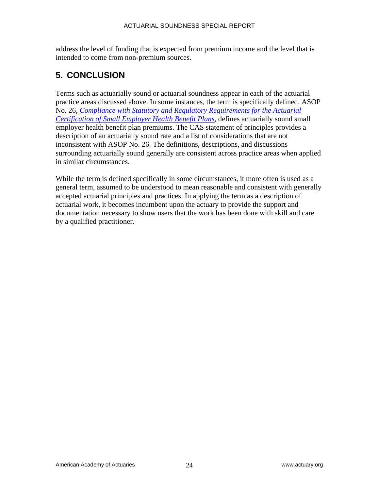address the level of funding that is expected from premium income and the level that is intended to come from non-premium sources.

# **5. CONCLUSION**

Terms such as actuarially sound or actuarial soundness appear in each of the actuarial practice areas discussed above. In some instances, the term is specifically defined. ASOP No. 26, *[Compliance with Statutory and Regulatory Requirements for the Actuarial](http://www.actuarialstandardsboard.org/pdf/asops/asop026_144.pdf)  [Certification of Small Employer Health Benefit Plans](http://www.actuarialstandardsboard.org/pdf/asops/asop026_144.pdf)*, defines actuarially sound small employer health benefit plan premiums. The CAS statement of principles provides a description of an actuarially sound rate and a list of considerations that are not inconsistent with ASOP No. 26. The definitions, descriptions, and discussions surrounding actuarially sound generally are consistent across practice areas when applied in similar circumstances.

While the term is defined specifically in some circumstances, it more often is used as a general term, assumed to be understood to mean reasonable and consistent with generally accepted actuarial principles and practices. In applying the term as a description of actuarial work, it becomes incumbent upon the actuary to provide the support and documentation necessary to show users that the work has been done with skill and care by a qualified practitioner.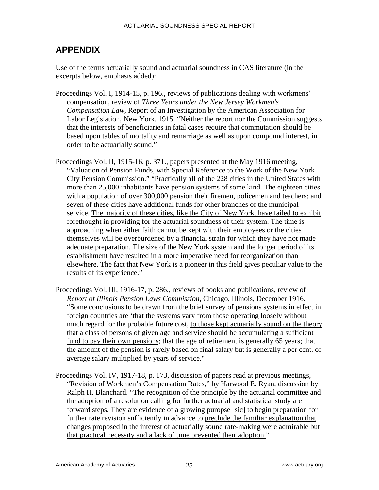# **APPENDIX**

Use of the terms actuarially sound and actuarial soundness in CAS literature (in the excerpts below, emphasis added):

- Proceedings Vol. I, 1914-15, p. 196., reviews of publications dealing with workmens' compensation, review of *Three Years under the New Jersey Workmen's Compensation Law,* Report of an Investigation by the American Association for Labor Legislation, New York. 1915. "Neither the report nor the Commission suggests that the interests of beneficiaries in fatal cases require that commutation should be based upon tables of mortality and remarriage as well as upon compound interest, in order to be actuarially sound."
- Proceedings Vol. II, 1915-16, p. 371., papers presented at the May 1916 meeting, "Valuation of Pension Funds, with Special Reference to the Work of the New York City Pension Commission." "Practically all of the 228 cities in the United States with more than 25,000 inhabitants have pension systems of some kind. The eighteen cities with a population of over 300,000 pension their firemen, policemen and teachers; and seven of these cities have additional funds for other branches of the municipal service. The majority of these cities, like the City of New York, have failed to exhibit forethought in providing for the actuarial soundness of their system. The time is approaching when either faith cannot be kept with their employees or the cities themselves will be overburdened by a financial strain for which they have not made adequate preparation. The size of the New York system and the longer period of its establishment have resulted in a more imperative need for reorganization than elsewhere. The fact that New York is a pioneer in this field gives peculiar value to the results of its experience."
- Proceedings Vol. III, 1916-17, p. 286., reviews of books and publications, review of *Report of Illinois Pension Laws Commission,* Chicago, Illinois, December 1916. "Some conclusions to be drawn from the brief survey of pensions systems in effect in foreign countries are 'that the systems vary from those operating loosely without much regard for the probable future cost, to those kept actuarially sound on the theory that a class of persons of given age and service should be accumulating a sufficient fund to pay their own pensions; that the age of retirement is generally 65 years; that the amount of the pension is rarely based on final salary but is generally a per cent. of average salary multiplied by years of service."
- Proceedings Vol. IV, 1917-18, p. 173, discussion of papers read at previous meetings, "Revision of Workmen's Compensation Rates," by Harwood E. Ryan, discussion by Ralph H. Blanchard. "The recognition of the principle by the actuarial committee and the adoption of a resolution calling for further actuarial and statistical study are forward steps. They are evidence of a growing puropse [sic] to begin preparation for further rate revision sufficiently in advance to preclude the familiar explanation that changes proposed in the interest of actuarially sound rate-making were admirable but that practical necessity and a lack of time prevented their adoption."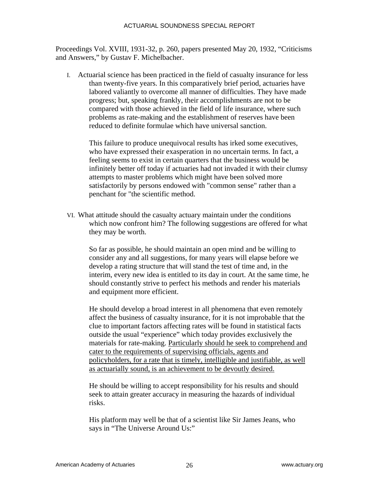Proceedings Vol. XVIII, 1931-32, p. 260, papers presented May 20, 1932, "Criticisms and Answers," by Gustav F. Michelbacher.

I. Actuarial science has been practiced in the field of casualty insurance for less than twenty-five years. In this comparatively brief period, actuaries have labored valiantly to overcome all manner of difficulties. They have made progress; but, speaking frankly, their accomplishments are not to be compared with those achieved in the field of life insurance, where such problems as rate-making and the establishment of reserves have been reduced to definite formulae which have universal sanction.

This failure to produce unequivocal results has irked some executives, who have expressed their exasperation in no uncertain terms. In fact, a feeling seems to exist in certain quarters that the business would be infinitely better off today if actuaries had not invaded it with their clumsy attempts to master problems which might have been solved more satisfactorily by persons endowed with "common sense" rather than a penchant for "the scientific method.

VI. What attitude should the casualty actuary maintain under the conditions which now confront him? The following suggestions are offered for what they may be worth.

So far as possible, he should maintain an open mind and be willing to consider any and all suggestions, for many years will elapse before we develop a rating structure that will stand the test of time and, in the interim, every new idea is entitled to its day in court. At the same time, he should constantly strive to perfect his methods and render his materials and equipment more efficient.

He should develop a broad interest in all phenomena that even remotely affect the business of casualty insurance, for it is not improbable that the clue to important factors affecting rates will be found in statistical facts outside the usual "experience" which today provides exclusively the materials for rate-making. Particularly should he seek to comprehend and cater to the requirements of supervising officials, agents and policyholders, for a rate that is timely, intelligible and justifiable, as well as actuarially sound, is an achievement to be devoutly desired.

He should be willing to accept responsibility for his results and should seek to attain greater accuracy in measuring the hazards of individual risks.

His platform may well be that of a scientist like Sir James Jeans, who says in "The Universe Around Us:"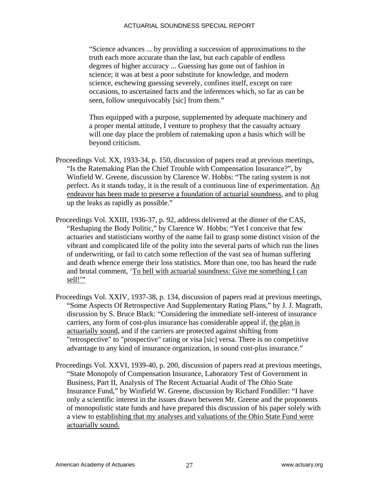"Science advances ... by providing a succession of approximations to the truth each more accurate than the last, but each capable of endless degrees of higher accuracy ... Guessing has gone out of fashion in science; it was at best a poor substitute for knowledge, and modern science, eschewing guessing severely, confines itself, except on rare occasions, to ascertained facts and the inferences which, so far as can be seen, follow unequivocably [sic] from them."

Thus equipped with a purpose, supplemented by adequate machinery and a proper mental attitude, I venture to prophesy that the casualty actuary will one day place the problem of ratemaking upon a basis which will be beyond criticism.

- Proceedings Vol. XX, 1933-34, p. 150, discussion of papers read at previous meetings, "Is the Ratemaking Plan the Chief Trouble with Compensation Insurance?", by Winfield W. Greene, discussion by Clarence W. Hobbs: "The rating system is not perfect. As it stands today, it is the result of a continuous line of experimentation. An endeavor has been made to preserve a foundation of actuarial soundness, and to plug up the leaks as rapidly as possible."
- Proceedings Vol. XXIII, 1936-37, p. 92, address delivered at the dinner of the CAS, "Reshaping the Body Politic," by Clarence W. Hobbs: "Yet I conceive that few actuaries and statisticians worthy of the name fail to grasp some distinct vision of the vibrant and complicated life of the polity into the several parts of which run the lines of underwriting, or fail to catch some reflection of the vast sea of human suffering and death whence emerge their loss statistics. More than one, too has heard the rude and brutal comment, 'To hell with actuarial soundness: Give me something I can sell!"
- Proceedings Vol. XXIV, 1937-38, p. 134, discussion of papers read at previous meetings, "Some Aspects Of Retrospective And Supplementary Rating Plans," by J. J. Magrath, discussion by S. Bruce Black: "Considering the immediate self-interest of insurance carriers, any form of cost-plus insurance has considerable appeal if, the plan is actuarially sound, and if the carriers are protected against shifting from "retrospective" to "prospective" rating or visa [sic] versa. There is no competitive advantage to any kind of insurance organization, in sound cost-plus insurance."
- Proceedings Vol. XXVI, 1939-40, p. 200, discussion of papers read at previous meetings, "State Monopoly of Compensation Insurance, Laboratory Test of Government in Business, Part II, Analysis of The Recent Actuarial Audit of The Ohio State Insurance Fund," by Winfield W. Greene, discussion by Richard Fondiller: "I have only a scientific interest in the issues drawn between Mr. Greene and the proponents of monopolistic state funds and have prepared this discussion of his paper solely with a view to establishing that my analyses and valuations of the Ohio State Fund were actuarially sound.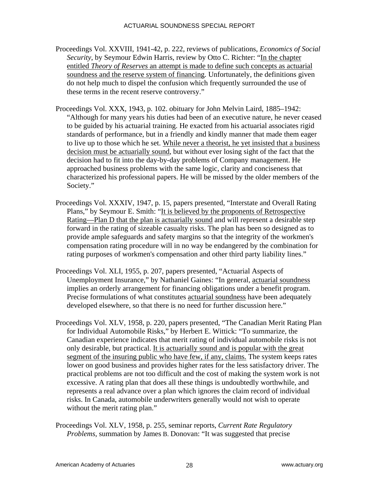- Proceedings Vol. XXVIII, 1941-42, p. 222, reviews of publications, *Economics of Social Security*, by Seymour Edwin Harris, review by Otto C. Richter: "In the chapter entitled *Theory of Reserves* an attempt is made to define such concepts as actuarial soundness and the reserve system of financing. Unfortunately, the definitions given do not help much to dispel the confusion which frequently surrounded the use of these terms in the recent reserve controversy."
- Proceedings Vol. XXX, 1943, p. 102. obituary for John Melvin Laird, 1885–1942: "Although for many years his duties had been of an executive nature, he never ceased to be guided by his actuarial training. He exacted from his actuarial associates rigid standards of performance, but in a friendly and kindly manner that made them eager to live up to those which he set. While never a theorist, he yet insisted that a business decision must be actuarially sound, but without ever losing sight of the fact that the decision had to fit into the day-by-day problems of Company management. He approached business problems with the same logic, clarity and conciseness that characterized his professional papers. He will be missed by the older members of the Society."
- Proceedings Vol. XXXIV, 1947, p. 15, papers presented, "Interstate and Overall Rating Plans," by Seymour E. Smith: "It is believed by the proponents of Retrospective Rating—Plan D that the plan is actuarially sound and will represent a desirable step forward in the rating of sizeable casualty risks. The plan has been so designed as to provide ample safeguards and safety margins so that the integrity of the workmen's compensation rating procedure will in no way be endangered by the combination for rating purposes of workmen's compensation and other third party liability lines."
- Proceedings Vol. XLI, 1955, p. 207, papers presented, "Actuarial Aspects of Unemployment Insurance," by Nathaniel Gaines: "In general, actuarial soundness implies an orderly arrangement for financing obligations under a benefit program. Precise formulations of what constitutes actuarial soundness have been adequately developed elsewhere, so that there is no need for further discussion here."
- Proceedings Vol. XLV, 1958, p. 220, papers presented, "The Canadian Merit Rating Plan for Individual Automobile Risks," by Herbert E. Wittick: "To summarize, the Canadian experience indicates that merit rating of individual automobile risks is not only desirable, but practical. It is actuarially sound and is popular with the great segment of the insuring public who have few, if any, claims. The system keeps rates lower on good business and provides higher rates for the less satisfactory driver. The practical problems are not too difficult and the cost of making the system work is not excessive. A rating plan that does all these things is undoubtedly worthwhile, and represents a real advance over a plan which ignores the claim record of individual risks. In Canada, automobile underwriters generally would not wish to operate without the merit rating plan."
- Proceedings Vol. XLV, 1958, p. 255, seminar reports, *Current Rate Regulatory Problems*, summation by James B. Donovan: "It was suggested that precise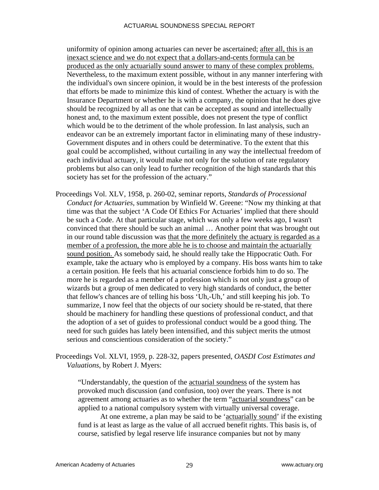uniformity of opinion among actuaries can never be ascertained; after all, this is an inexact science and we do not expect that a dollars-and-cents formula can be produced as the only actuarially sound answer to many of these complex problems. Nevertheless, to the maximum extent possible, without in any manner interfering with the individual's own sincere opinion, it would be in the best interests of the profession that efforts be made to minimize this kind of contest. Whether the actuary is with the Insurance Department or whether he is with a company, the opinion that he does give should be recognized by all as one that can be accepted as sound and intellectually honest and, to the maximum extent possible, does not present the type of conflict which would be to the detriment of the whole profession. In last analysis, such an endeavor can be an extremely important factor in eliminating many of these industry-Government disputes and in others could be determinative. To the extent that this goal could be accomplished, without curtailing in any way the intellectual freedom of each individual actuary, it would make not only for the solution of rate regulatory problems but also can only lead to further recognition of the high standards that this society has set for the profession of the actuary."

Proceedings Vol. XLV, 1958, p. 260-02, seminar reports, *Standards of Processional Conduct for Actuaries,* summation by Winfield W. Greene: "Now my thinking at that time was that the subject 'A Code Of Ethics For Actuaries' implied that there should be such a Code. At that particular stage, which was only a few weeks ago, I wasn't convinced that there should be such an animal … Another point that was brought out in our round table discussion was that the more definitely the actuary is regarded as a member of a profession, the more able he is to choose and maintain the actuarially sound position. As somebody said, he should really take the Hippocratic Oath. For example, take the actuary who is employed by a company. His boss wants him to take a certain position. He feels that his actuarial conscience forbids him to do so. The more he is regarded as a member of a profession which is not only just a group of wizards but a group of men dedicated to very high standards of conduct, the better that fellow's chances are of telling his boss 'Uh,-Uh,' and still keeping his job. To summarize, I now feel that the objects of our society should be re-stated, that there should be machinery for handling these questions of professional conduct, and that the adoption of a set of guides to professional conduct would be a good thing. The need for such guides has lately been intensified, and this subject merits the utmost serious and conscientious consideration of the society."

Proceedings Vol. XLVI, 1959, p. 228-32, papers presented, *OASDI Cost Estimates and Valuations*, by Robert J. Myers:

"Understandably, the question of the actuarial soundness of the system has provoked much discussion (and confusion, too) over the years. There is not agreement among actuaries as to whether the term "actuarial soundness" can be applied to a national compulsory system with virtually universal coverage.

 At one extreme, a plan may be said to be 'actuarially sound' if the existing fund is at least as large as the value of all accrued benefit rights. This basis is, of course, satisfied by legal reserve life insurance companies but not by many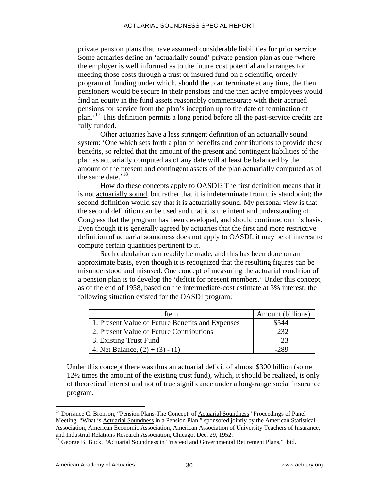private pension plans that have assumed considerable liabilities for prior service. Some actuaries define an 'actuarially sound' private pension plan as one 'where the employer is well informed as to the future cost potential and arranges for meeting those costs through a trust or insured fund on a scientific, orderly program of funding under which, should the plan terminate at any time, the then pensioners would be secure in their pensions and the then active employees would find an equity in the fund assets reasonably commensurate with their accrued pensions for service from the plan's inception up to the date of termination of plan.'[17](#page-33-0) This definition permits a long period before all the past-service credits are fully funded.

 Other actuaries have a less stringent definition of an actuarially sound system: 'One which sets forth a plan of benefits and contributions to provide these benefits, so related that the amount of the present and contingent liabilities of the plan as actuarially computed as of any date will at least be balanced by the amount of the present and contingent assets of the plan actuarially computed as of the same date.<sup>5[18](#page-33-1)</sup>

 How do these concepts apply to OASDI? The first definition means that it is not actuarially sound, but rather that it is indeterminate from this standpoint; the second definition would say that it is actuarially sound. My personal view is that the second definition can be used and that it is the intent and understanding of Congress that the program has been developed, and should continue, on this basis. Even though it is generally agreed by actuaries that the first and more restrictive definition of actuarial soundness does not apply to OASDI, it may be of interest to compute certain quantities pertinent to it.

 Such calculation can readily be made, and this has been done on an approximate basis, even though it is recognized that the resulting figures can be misunderstood and misused. One concept of measuring the actuarial condition of a pension plan is to develop the 'deficit for present members.' Under this concept, as of the end of 1958, based on the intermediate-cost estimate at 3% interest, the following situation existed for the OASDI program:

| <b>Item</b>                                      | Amount (billions) |
|--------------------------------------------------|-------------------|
| 1. Present Value of Future Benefits and Expenses | \$544             |
| 2. Present Value of Future Contributions         | 232               |
| 3. Existing Trust Fund                           | つつ                |
| 4. Net Balance, $(2) + (3) - (1)$                | $-289$            |

Under this concept there was thus an actuarial deficit of almost \$300 billion (some 12½ times the amount of the existing trust fund), which, it should be realized, is only of theoretical interest and not of true significance under a long-range social insurance program.

<span id="page-33-0"></span><sup>&</sup>lt;sup>17</sup> Dorrance C. Bronson, "Pension Plans-The Concept, of **Actuarial Soundness**" Proceedings of Panel Meeting, "What is **Actuarial Soundness** in a Pension Plan," sponsored jointly by the American Statistical Association, American Economic Association, American Association of University Teachers of Insurance, and Industrial Relations Research Association, Chicago, Dec. 29, 1952.<br><sup>18</sup> George B. Buck, "<u>Actuarial Soundness</u> in Trusteed and Governmental Retirement Plans," ibid.

<span id="page-33-1"></span>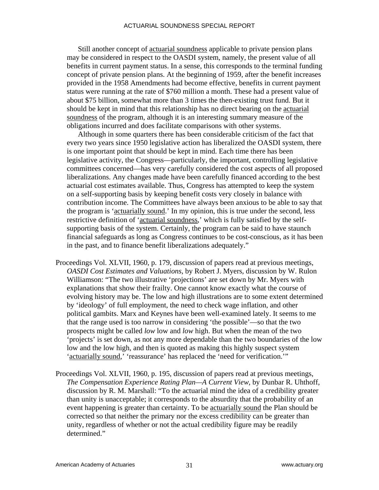Still another concept of actuarial soundness applicable to private pension plans may be considered in respect to the OASDI system, namely, the present value of all benefits in current payment status. In a sense, this corresponds to the terminal funding concept of private pension plans. At the beginning of 1959, after the benefit increases provided in the 1958 Amendments had become effective, benefits in current payment status were running at the rate of \$760 million a month. These had a present value of about \$75 billion, somewhat more than 3 times the then-existing trust fund. But it should be kept in mind that this relationship has no direct bearing on the actuarial soundness of the program, although it is an interesting summary measure of the obligations incurred and does facilitate comparisons with other systems.

 Although in some quarters there has been considerable criticism of the fact that every two years since 1950 legislative action has liberalized the OASDI system, there is one important point that should be kept in mind. Each time there has been legislative activity, the Congress—particularly, the important, controlling legislative committees concerned—has very carefully considered the cost aspects of all proposed liberalizations. Any changes made have been carefully financed according to the best actuarial cost estimates available. Thus, Congress has attempted to keep the system on a self-supporting basis by keeping benefit costs very closely in balance with contribution income. The Committees have always been anxious to be able to say that the program is 'actuarially sound.' In my opinion, this is true under the second, less restrictive definition of 'actuarial soundness,' which is fully satisfied by the selfsupporting basis of the system. Certainly, the program can be said to have staunch financial safeguards as long as Congress continues to be cost-conscious, as it has been in the past, and to finance benefit liberalizations adequately."

- Proceedings Vol. XLVII, 1960, p. 179, discussion of papers read at previous meetings, *OASDI Cost Estimates and Valuations*, by Robert J. Myers, discussion by W. Rulon Williamson: "The two illustrative 'projections' are set down by Mr. Myers with explanations that show their frailty. One cannot know exactly what the course of evolving history may be. The low and high illustrations are to some extent determined by 'ideology' of full employment, the need to check wage inflation, and other political gambits. Marx and Keynes have been well-examined lately. It seems to me that the range used is too narrow in considering 'the possible'—so that the two prospects might be called *low* low and *low* high. But when the mean of the two 'projects' is set down, as not any more dependable than the two boundaries of the low low and the low high, and then is quoted as making this highly suspect system 'actuarially sound,' 'reassurance' has replaced the 'need for verification.'"
- Proceedings Vol. XLVII, 1960, p. 195, discussion of papers read at previous meetings, *The Compensation Experience Rating Plan—A Current View*, by Dunbar R. Uhthoff, discussion by R. M. Marshall: "To the actuarial mind the idea of a credibility greater than unity is unacceptable; it corresponds to the absurdity that the probability of an event happening is greater than certainty. To be actuarially sound the Plan should be corrected so that neither the primary nor the excess credibility can be greater than unity, regardless of whether or not the actual credibility figure may be readily determined."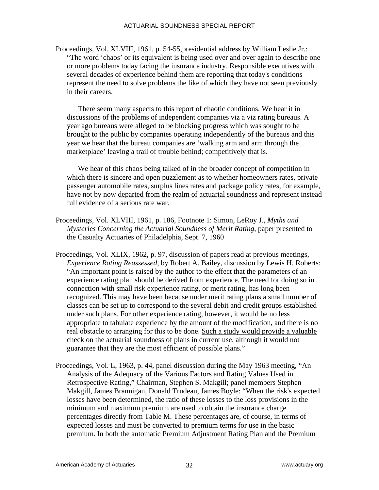Proceedings, Vol. XLVIII, 1961, p. 54-55,presidential address by William Leslie Jr.: "The word 'chaos' or its equivalent is being used over and over again to describe one or more problems today facing the insurance industry. Responsible executives with several decades of experience behind them are reporting that today's conditions represent the need to solve problems the like of which they have not seen previously in their careers.

There seem many aspects to this report of chaotic conditions. We hear it in discussions of the problems of independent companies viz a viz rating bureaus. A year ago bureaus were alleged to be blocking progress which was sought to be brought to the public by companies operating independently of the bureaus and this year we hear that the bureau companies are 'walking arm and arm through the marketplace' leaving a trail of trouble behind; competitively that is.

We hear of this chaos being talked of in the broader concept of competition in which there is sincere and open puzzlement as to whether homeowners rates, private passenger automobile rates, surplus lines rates and package policy rates, for example, have not by now departed from the realm of actuarial soundness and represent instead full evidence of a serious rate war.

- Proceedings, Vol. XLVIII, 1961, p. 186, Footnote 1: Simon, LeRoy J., *Myths and Mysteries Concerning the Actuarial Soundness of Merit Rating*, paper presented to the Casualty Actuaries of Philadelphia, Sept. 7, 1960
- Proceedings, Vol. XLIX, 1962, p. 97, discussion of papers read at previous meetings, *Experience Rating Reassessed*, by Robert A. Bailey, discussion by Lewis H. Roberts: "An important point is raised by the author to the effect that the parameters of an experience rating plan should be derived from experience. The need for doing so in connection with small risk experience rating, or merit rating, has long been recognized. This may have been because under merit rating plans a small number of classes can be set up to correspond to the several debit and credit groups established under such plans. For other experience rating, however, it would be no less appropriate to tabulate experience by the amount of the modification, and there is no real obstacle to arranging for this to be done. Such a study would provide a valuable check on the actuarial soundness of plans in current use, although it would not guarantee that they are the most efficient of possible plans."
- Proceedings, Vol. L, 1963, p. 44, panel discussion during the May 1963 meeting, "An Analysis of the Adequacy of the Various Factors and Rating Values Used in Retrospective Rating," Chairman, Stephen S. Makgill; panel members Stephen Makgill, James Brannigan, Donald Trudeau, James Boyle: "When the risk's expected losses have been determined, the ratio of these losses to the loss provisions in the minimum and maximum premium are used to obtain the insurance charge percentages directly from Table M. These percentages are, of course, in terms of expected losses and must be converted to premium terms for use in the basic premium. In both the automatic Premium Adjustment Rating Plan and the Premium